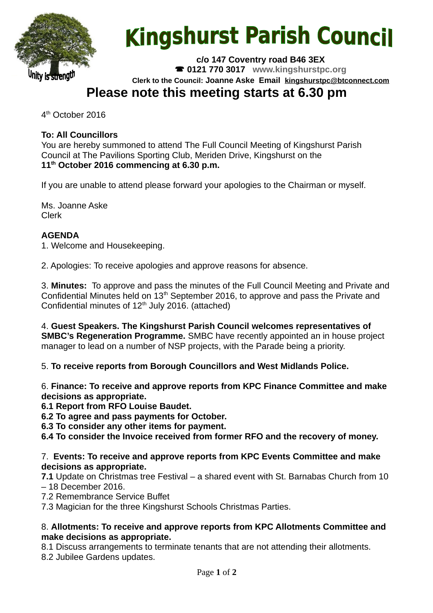

# **Kingshurst Parish Council**

**c/o 147 Coventry road B46 3EX 0121 770 3017 www.kingshurstpc.org Clerk to the Council: Joanne Aske Email [kingshurstpc@btconnect.com](mailto:kingshurstpc@btconnect.com)**

# **Please note this meeting starts at 6.30 pm**

4<sup>th</sup> October 2016

# **To: All Councillors**

You are hereby summoned to attend The Full Council Meeting of Kingshurst Parish Council at The Pavilions Sporting Club, Meriden Drive, Kingshurst on the **11th October 2016 commencing at 6.30 p.m.**

If you are unable to attend please forward your apologies to the Chairman or myself.

Ms. Joanne Aske Clerk

### **AGENDA**

1. Welcome and Housekeeping.

2. Apologies: To receive apologies and approve reasons for absence.

3. **Minutes:** To approve and pass the minutes of the Full Council Meeting and Private and Confidential Minutes held on 13<sup>th</sup> September 2016, to approve and pass the Private and Confidential minutes of  $12<sup>th</sup>$  July 2016. (attached)

4. **Guest Speakers. The Kingshurst Parish Council welcomes representatives of SMBC's Regeneration Programme.** SMBC have recently appointed an in house project manager to lead on a number of NSP projects, with the Parade being a priority.

5. **To receive reports from Borough Councillors and West Midlands Police.**

6. **Finance: To receive and approve reports from KPC Finance Committee and make decisions as appropriate.**

**6.1 Report from RFO Louise Baudet.**

**6.2 To agree and pass payments for October.**

**6.3 To consider any other items for payment.**

**6.4 To consider the Invoice received from former RFO and the recovery of money.**

#### 7. **Events: To receive and approve reports from KPC Events Committee and make decisions as appropriate.**

**7.1** Update on Christmas tree Festival – a shared event with St. Barnabas Church from 10 – 18 December 2016.

7.2 Remembrance Service Buffet

7.3 Magician for the three Kingshurst Schools Christmas Parties.

#### 8. **Allotments: To receive and approve reports from KPC Allotments Committee and make decisions as appropriate.**

8.1 Discuss arrangements to terminate tenants that are not attending their allotments.

8.2 Jubilee Gardens updates.